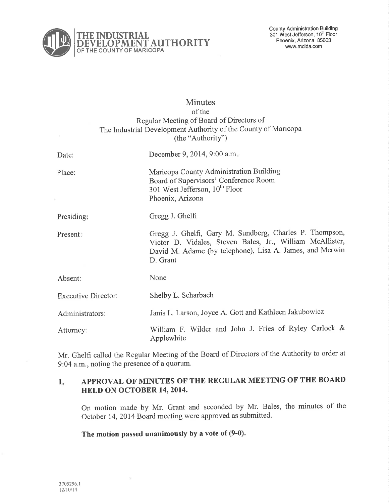

# **Minutes** of the Regular Meeting of Board of Directors of The Industrial Development Authority of the County of Maricopa (the "Authority")

| Date:                      | December 9, 2014, 9:00 a.m.                                                                                                                                                                  |
|----------------------------|----------------------------------------------------------------------------------------------------------------------------------------------------------------------------------------------|
| Place:                     | Maricopa County Administration Building<br>Board of Supervisors' Conference Room<br>301 West Jefferson, 10 <sup>th</sup> Floor<br>Phoenix, Arizona                                           |
| Presiding:                 | Gregg J. Ghelfi                                                                                                                                                                              |
| Present:                   | Gregg J. Ghelfi, Gary M. Sundberg, Charles P. Thompson,<br>Victor D. Vidales, Steven Bales, Jr., William McAllister,<br>David M. Adame (by telephone), Lisa A. James, and Merwin<br>D. Grant |
| Absent:                    | None                                                                                                                                                                                         |
| <b>Executive Director:</b> | Shelby L. Scharbach                                                                                                                                                                          |
| Administrators:            | Janis L. Larson, Joyce A. Gott and Kathleen Jakubowicz                                                                                                                                       |
| Attorney:                  | William F. Wilder and John J. Fries of Ryley Carlock &<br>Applewhite                                                                                                                         |

Mr. Ghelfi called the Regular Meeting of the Board of Directors of the Authority to order at 9:04 a.m., noting the presence of a quorum.

#### 1 APPROVAL OF MINUTES OF THE REGULAR MEETING OF THE BOARI) HELD ON OCTOBER 14, 2014.

On motion made by Mr. Grant and seconded by Mr. Bales, the minutes of the October 14,2014 Board meeting were approved as submitted.

The motion passed unanimously by a vote of (9-0).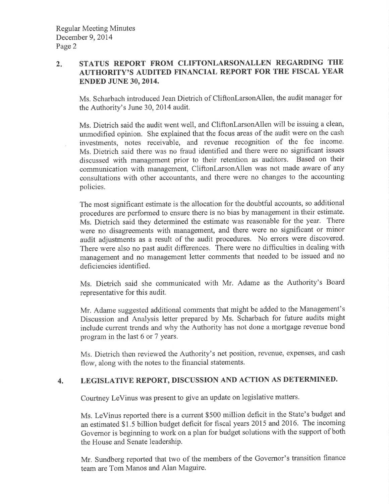#### $2.$ STATUS REPORT FROM CLIFTONLARSONALLEN REGARDING TIIE AUTHORITY'S AUDITED FINANCIAL REPORT FOR THE FISCAL YEAR ENDED JUNE 30,2014.

Ms. Scharbach introduced Jean Dietrich of CliftonlarsonAllen, the audit manager for the Authority's June 30,2014 audit.

Ms. Dietrich said the audit went well, and CliftonlarsonAllen will be issuing a clean, unmodified opinion. She explained that the focus areas of the audit were on the cash investments, notes receivable, and revenue recognition of the fee income. Ms. Dietrich said there was no fraud identified and there were no significant issues discussed with management prior to their retention as auditors. Based on their communication with management, CliftonlarsonAllen was not made aware of any consultations with other accountants, and there were no changes to the accounting policies.

The most significant estimate is the allocation for the doubtful accounts, so additional procedures are performed to ensure there is no bias by management in their estimate. Ms. Dietrich said they determined the estimate was reasonable for the year. There were no disagreements with management, and there were no significant or minor audit adjustments as a result of the audit procedures. No errors were discovered. There were also no past audit differences. There were no difficulties in dealing with management and no management letter comments that needed to be issued and no deficiencies identified.

Ms. Dietrich said she communicated with Mr. Adame as the Authority's Board representative for this audit.

Mr. Adame suggested additional comments that might be added to the Management's Discussion and Analysis letter prepared by Ms. Scharbach for future audits might include current trends and why the Authority has not done a mortgage revenue bond program in the last ó or 7 years.

Ms. Dietrich then reviewed the Authority's net position, revenue, expenses, and cash flow, along with the notes to the financial statements.

# 4. LEGISLATIVE REPORT, DISCUSSION AND ACTION AS DETERMINED.

Courtney LeVinus was present to give an update on legislative matters.

Ms. LeVinus reported there is a current \$500 million deficit in the State's budget and an estimated \$ 1 .5 billion budget deficit for fiscal years 2015 and 2016. The incoming Govemor is beginning to work on a plan for budget solutions with the support of both the House and Senate leadership.

Mr. Sundberg reported that two of the members of the Governor's transition finance team are Tom Manos and Alan Maguire.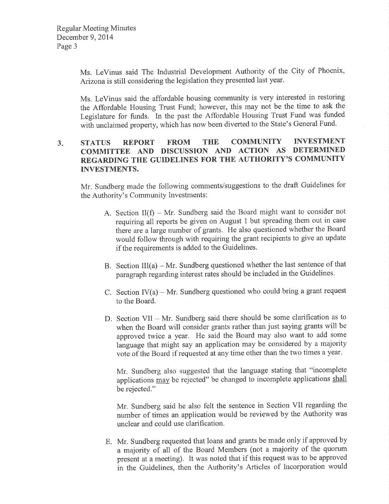Ms. LeVinus said The Industrial Development Authority of the City of Phoenix, Arizona is still considering the legislation they presented last year.

Ms. LeVinus said the affordable housing community is very interested in restoring the Affordable Housing Trust Fund; however, this may not be the time to ask the Legislature for funds. In the past the Affordable Housing Trust Fund was funded with unclaimed property, which has now been diverted to the State's General Fund.

#### $3<sub>1</sub>$ STATUS REPORT FROM THE COMMUNITY INVESTMENT COMMITTEE AND DISCUSSION AND ACTION AS DETERMINED REGARDING THE GUIDELINES FOR THE AUTHORITY'S COMMUNITY INVESTMENTS.

Mr, Sundberg made the following comments/suggestions to the draft Guidelines for the Authority's Community Investments:

- A. Section  $II(f) Mr$ . Sundberg said the Board might want to consider not requiring all reports be given on August I but spreading them out in case there are alarge number of grants. He also questioned whether the Board would follow through with requiring the grant recipients to give an update if the requirements is added to the Guidelines.
- B. Section  $III(a) Mr.$  Sundberg questioned whether the last sentence of that paragraph regarding interest rates should be included in the Guidelines.
- C. Section  $IV(a) Mr$ . Sundberg questioned who could bring a grant request to the Board.
- D. Section VII Mr. Sundberg said there should be some clarification as to when the Board will consider grants rather than just saying grants will be approved twice a year. He said the Board may also want to add some language that might say an application may be considered by a majority vote of the Board if requested at any time other than the two times a year '

Mr. Sundberg also suggested that the language stating that "incomplete applications may be rejected" be changed to incomplete applications shall be rejected."

Mr. Sundberg said he also felt the sentence in Section VII regarding the number of times an application would be reviewed by the Authority was unclear and could use clarification.

E. Mr. Sundberg requested that loans and grants be made only if approved by a majority of all of the Board Members (not a majority of the quorum present at a meeting). It was noted that if this request was to be approved in the Guidelines, then the Authority's Articles of Incorporation would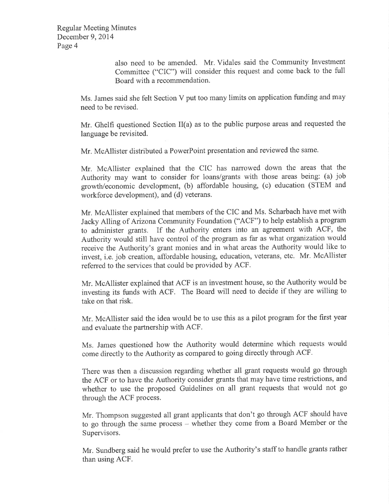Regular Meeting Minutes December 9, 2014 Page 4

> also need to be amended. Mr, Vidales said the Community Investment Committee ("CIC") will consider this request and come back to the full Board with a recommendation.

Ms. James said she felt Section V put too many limits on application funding and may need to be revised.

Mr. Ghelfi questioned Section II(a) as to the public purpose areas and requested the language be revisited.

Mr. McAllister distributed a PowerPoint presentation and reviewed the same.

Mr. McAllister explained that the CIC has narrowed down the areas that the Authority may want to consider for loans/grants with those areas being: (a) job growth/economic development, (b) affordable housing, (c) education (STEM and workforce development), and (d) veterans.

Mr. McAllister explained that members of the CIC and Ms. Scharbach have met with Jacky Alling of Arizona Community Foundation ("ACF") to help establish a program to administer grants. If the Authority enters into an agreement with ACF, the Authority would still have control of the program as far as what organization would receive the Authority's grant monies and in what areas the Authority would like to invest, i.e. job creation, affordable housing, education, veterans, etc. Mr. McAllister referred to the services that could be provided by ACF.

Mr. McAllister explained that ACF is an investment house, so the Authority would be investing its funds with ACF. The Board will need to decide if they are willing to take on that risk.

Mr. McAllister said the idea would be to use this as a pilot program for the first year and evaluate the partnership with ACF.

Ms. James questioned how the Authority would determine which requests would come directly to the Authority as compared to going directly through ACF.

There was then a discussion regarding whether all grant requests would go through the ACF or to have the Authority consider grants that may have time restrictions, and whether to use the proposed Guidelines on all grant requests that would not go through the ACF process.

Mr. Thompson suggested all grant applicants that don't go through ACF should have to go through the same process – whether they come from a Board Member or the Supervisors.

Mr. Sundberg said he would prefer to use the Authority's staff to handle grants rather than using ACF.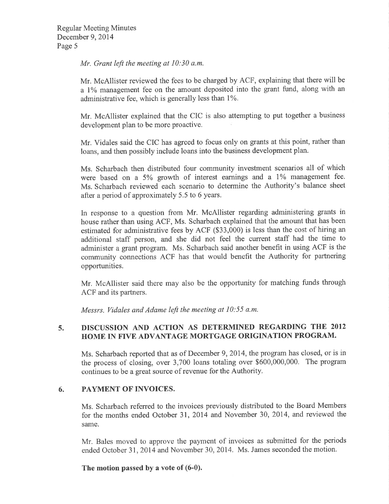Mr. Grant left the meeting at 10:30 a.m.

Mr. McAllister reviewed the fees to be charged by ACF, explaining that there will be a 1% management fee on the amount deposited into the grant fund, along with an administrative fee, which is generally less than 1%.

Mr. McAllister explained that the CIC is also attempting to put together a business development plan to be more proactive.

Mr. Vidales said the CIC has agreed to focus only on grants at this point, rather than loans, and then possibly include loans into the business development plan.

Ms. Scharbach then distributed four community investment scenarios all of which were based on a 5% growth of interest earnings and a 1% management fee. Ms. Scharbach reviewed each scenario to determine the Authority's balance sheet after a period of approximately 5.5 to 6 years.

In response to a question from Mr. McAllister regarding administering grants in house rather than using ACF, Ms. Scharbach explained that the amount that has been estimated for administrative fees by ACF (\$33,000) is less than the cost of hiring an additional staff person, and she did not feel the current staff had the time to administer a grant program. Ms. Scharbach said another benefit in using ACF is the community connections ACF has that would benefit the Authority for partnering opportunities.

Mr. McAllister said there may also be the opportunity for matching funds through ACF and its partners.

Messrs. Vidales and Adame left the meeting at I0:55 a.m.

#### 5. DISCUSSION AND ACTION AS DETERMINED REGARDING THE <sup>2012</sup> HOME IN FIVE ADVANTAGE MORTGAGE ORIGINATION PROGRAM.

Ms. Scharbach reported that as of December 9, 2014, the program has closed, or is in the process of closing, over 3,700 loans totaling over \$600,000,000. The program continues to be a great source of revenue for the Authority.

# 6. PAYMENT OF INVOICES.

Ms. Scharbach referred to the invoices previously distributed to the Board Members for the months ended October 31, 2074 and November 30, 2014, and reviewed the same.

Mr. Bales moved to approve the payment of invoices as submitted for the periods ended October 31,2014 and November 30, 2014. Ms. James seconded the motion.

# The motion passed by a vote of (6-0).